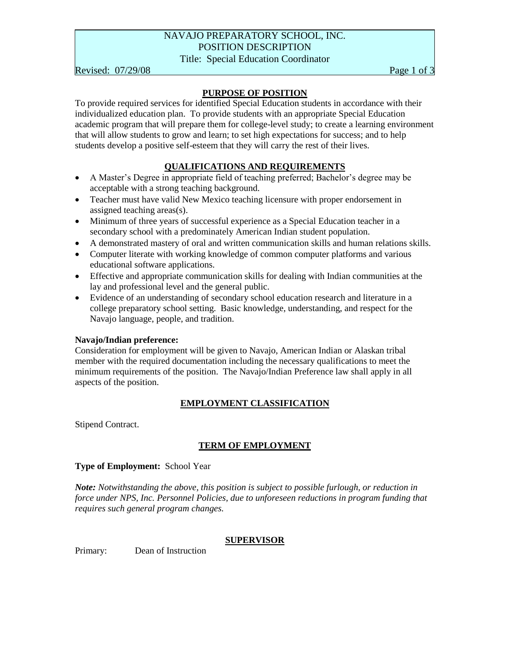# NAVAJO PREPARATORY SCHOOL, INC. POSITION DESCRIPTION

Title: Special Education Coordinator

Revised:  $07/29/08$  Page 1 of 3

## **PURPOSE OF POSITION**

To provide required services for identified Special Education students in accordance with their individualized education plan. To provide students with an appropriate Special Education academic program that will prepare them for college-level study; to create a learning environment that will allow students to grow and learn; to set high expectations for success; and to help students develop a positive self-esteem that they will carry the rest of their lives.

# **QUALIFICATIONS AND REQUIREMENTS**

- A Master's Degree in appropriate field of teaching preferred; Bachelor's degree may be acceptable with a strong teaching background.
- Teacher must have valid New Mexico teaching licensure with proper endorsement in assigned teaching areas(s).
- Minimum of three years of successful experience as a Special Education teacher in a secondary school with a predominately American Indian student population.
- A demonstrated mastery of oral and written communication skills and human relations skills.
- Computer literate with working knowledge of common computer platforms and various educational software applications.
- Effective and appropriate communication skills for dealing with Indian communities at the lay and professional level and the general public.
- Evidence of an understanding of secondary school education research and literature in a college preparatory school setting. Basic knowledge, understanding, and respect for the Navajo language, people, and tradition.

#### **Navajo/Indian preference:**

Consideration for employment will be given to Navajo, American Indian or Alaskan tribal member with the required documentation including the necessary qualifications to meet the minimum requirements of the position. The Navajo/Indian Preference law shall apply in all aspects of the position.

# **EMPLOYMENT CLASSIFICATION**

Stipend Contract.

# **TERM OF EMPLOYMENT**

#### **Type of Employment:** School Year

*Note: Notwithstanding the above, this position is subject to possible furlough, or reduction in force under NPS, Inc. Personnel Policies, due to unforeseen reductions in program funding that requires such general program changes.*

#### **SUPERVISOR**

Primary: Dean of Instruction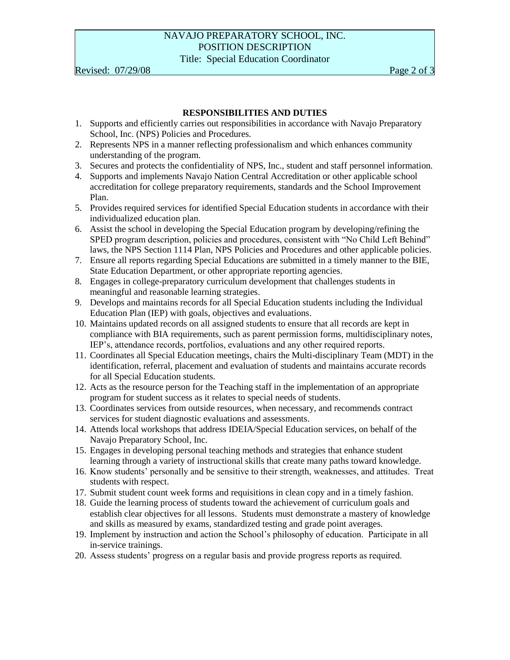# NAVAJO PREPARATORY SCHOOL, INC. POSITION DESCRIPTION Title: Special Education Coordinator

Revised:  $07/29/08$  Page 2 of 3

## **RESPONSIBILITIES AND DUTIES**

- 1. Supports and efficiently carries out responsibilities in accordance with Navajo Preparatory School, Inc. (NPS) Policies and Procedures.
- 2. Represents NPS in a manner reflecting professionalism and which enhances community understanding of the program.
- 3. Secures and protects the confidentiality of NPS, Inc., student and staff personnel information.
- 4. Supports and implements Navajo Nation Central Accreditation or other applicable school accreditation for college preparatory requirements, standards and the School Improvement Plan.
- 5. Provides required services for identified Special Education students in accordance with their individualized education plan.
- 6. Assist the school in developing the Special Education program by developing/refining the SPED program description, policies and procedures, consistent with "No Child Left Behind" laws, the NPS Section 1114 Plan, NPS Policies and Procedures and other applicable policies.
- 7. Ensure all reports regarding Special Educations are submitted in a timely manner to the BIE, State Education Department, or other appropriate reporting agencies.
- 8. Engages in college-preparatory curriculum development that challenges students in meaningful and reasonable learning strategies.
- 9. Develops and maintains records for all Special Education students including the Individual Education Plan (IEP) with goals, objectives and evaluations.
- 10. Maintains updated records on all assigned students to ensure that all records are kept in compliance with BIA requirements, such as parent permission forms, multidisciplinary notes, IEP's, attendance records, portfolios, evaluations and any other required reports.
- 11. Coordinates all Special Education meetings, chairs the Multi-disciplinary Team (MDT) in the identification, referral, placement and evaluation of students and maintains accurate records for all Special Education students.
- 12. Acts as the resource person for the Teaching staff in the implementation of an appropriate program for student success as it relates to special needs of students.
- 13. Coordinates services from outside resources, when necessary, and recommends contract services for student diagnostic evaluations and assessments.
- 14. Attends local workshops that address IDEIA/Special Education services, on behalf of the Navajo Preparatory School, Inc.
- 15. Engages in developing personal teaching methods and strategies that enhance student learning through a variety of instructional skills that create many paths toward knowledge.
- 16. Know students' personally and be sensitive to their strength, weaknesses, and attitudes. Treat students with respect.
- 17. Submit student count week forms and requisitions in clean copy and in a timely fashion.
- 18. Guide the learning process of students toward the achievement of curriculum goals and establish clear objectives for all lessons. Students must demonstrate a mastery of knowledge and skills as measured by exams, standardized testing and grade point averages.
- 19. Implement by instruction and action the School's philosophy of education. Participate in all in-service trainings.
- 20. Assess students' progress on a regular basis and provide progress reports as required.